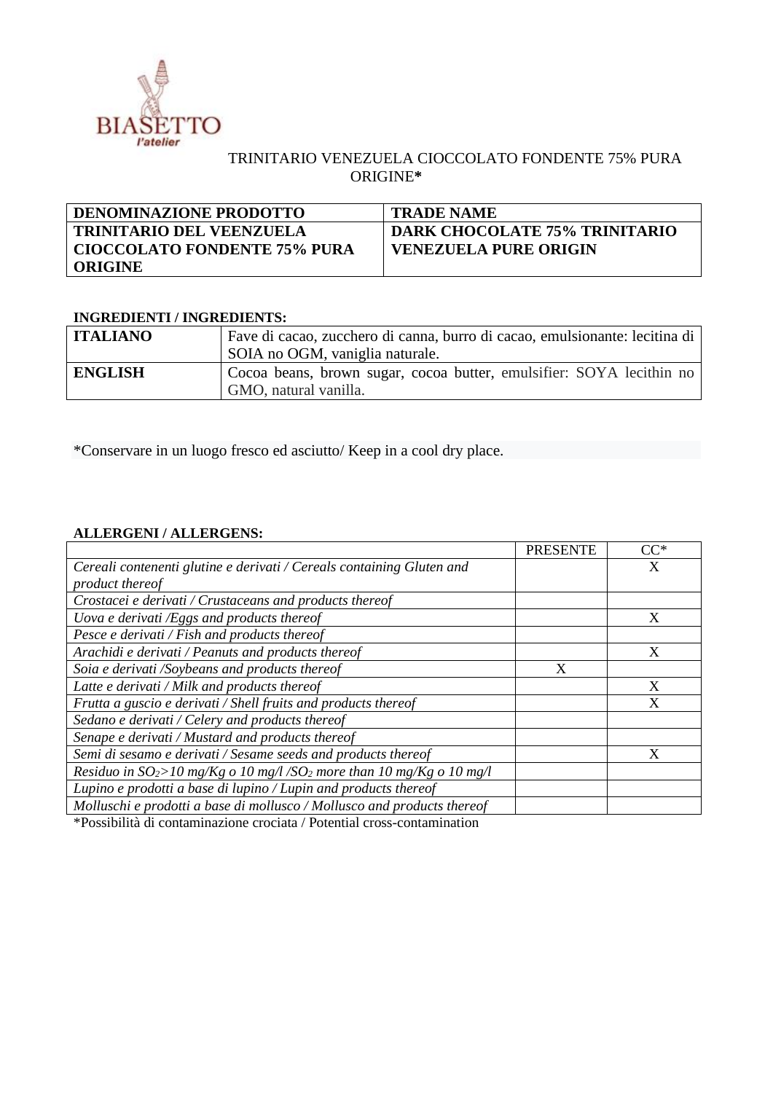

## TRINITARIO VENEZUELA CIOCCOLATO FONDENTE 75% PURA ORIGINE**\***

| <b>DENOMINAZIONE PRODOTTO</b>   | <b>TRADE NAME</b>                    |
|---------------------------------|--------------------------------------|
| <b>TRINITARIO DEL VEENZUELA</b> | <b>DARK CHOCOLATE 75% TRINITARIO</b> |
| CIOCCOLATO FONDENTE 75% PURA    | <b>VENEZUELA PURE ORIGIN</b>         |
| <b>ORIGINE</b>                  |                                      |

## **INGREDIENTI / INGREDIENTS:**

| <b>ITALIANO</b> | Fave di cacao, zucchero di canna, burro di cacao, emulsionante: lecitina di                   |  |  |
|-----------------|-----------------------------------------------------------------------------------------------|--|--|
|                 | SOIA no OGM, vaniglia naturale.                                                               |  |  |
| <b>ENGLISH</b>  | Cocoa beans, brown sugar, cocoa butter, emulsifier: SOYA lecithin no<br>GMO, natural vanilla. |  |  |

\*Conservare in un luogo fresco ed asciutto/ Keep in a cool dry place.

## **ALLERGENI / ALLERGENS:**

|                                                                                                                                                                          | <b>PRESENTE</b> | $CC^*$ |
|--------------------------------------------------------------------------------------------------------------------------------------------------------------------------|-----------------|--------|
| Cereali contenenti glutine e derivati / Cereals containing Gluten and                                                                                                    |                 |        |
| product thereof                                                                                                                                                          |                 |        |
| Crostacei e derivati / Crustaceans and products thereof                                                                                                                  |                 |        |
| Uova e derivati /Eggs and products thereof                                                                                                                               |                 | X      |
| Pesce e derivati / Fish and products thereof                                                                                                                             |                 |        |
| Arachidi e derivati / Peanuts and products thereof                                                                                                                       |                 | X      |
| Soia e derivati /Soybeans and products thereof                                                                                                                           | X               |        |
| Latte e derivati / Milk and products thereof                                                                                                                             |                 | X      |
| Frutta a guscio e derivati / Shell fruits and products thereof                                                                                                           |                 | X      |
| Sedano e derivati / Celery and products thereof                                                                                                                          |                 |        |
| Senape e derivati / Mustard and products thereof                                                                                                                         |                 |        |
| Semi di sesamo e derivati / Sesame seeds and products thereof                                                                                                            |                 | X      |
| Residuo in $SO_2 > 10$ mg/Kg o 10 mg/l/SO <sub>2</sub> more than 10 mg/Kg o 10 mg/l                                                                                      |                 |        |
| Lupino e prodotti a base di lupino / Lupin and products thereof                                                                                                          |                 |        |
| Molluschi e prodotti a base di mollusco / Mollusco and products thereof                                                                                                  |                 |        |
| <b>Contract Contract Contract</b><br>$\mathbf{r}$ and $\mathbf{r}$ and $\mathbf{r}$ and $\mathbf{r}$ and $\mathbf{r}$ and $\mathbf{r}$ and $\mathbf{r}$ and $\mathbf{r}$ |                 |        |

\*Possibilità di contaminazione crociata / Potential cross-contamination